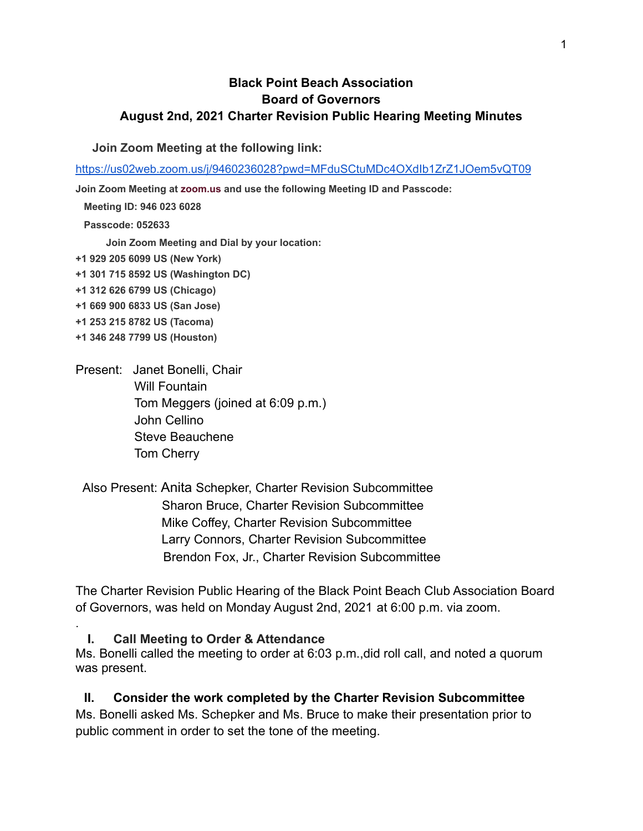#### **Black Point Beach Association Board of Governors August 2nd, 2021 Charter Revision Public Hearing Meeting Minutes**

**Join Zoom Meeting at the following link:**

<https://us02web.zoom.us/j/9460236028?pwd=MFduSCtuMDc4OXdIb1ZrZ1JOem5vQT09>

**Join Zoom Meeting at [zoom.us](http://zoom.us/) and use the following Meeting ID and Passcode:**

**Meeting ID: 946 023 6028**

**Passcode: 052633**

**Join Zoom Meeting and Dial by your location:**

- **+1 929 205 6099 US (New York)**
- **+1 301 715 8592 US (Washington DC)**
- **+1 312 626 6799 US (Chicago)**
- **+1 669 900 6833 US (San Jose)**
- **+1 253 215 8782 US (Tacoma)**
- **+1 346 248 7799 US (Houston)**

.

- Present: Janet Bonelli, Chair Will Fountain Tom Meggers (joined at 6:09 p.m.) John Cellino Steve Beauchene Tom Cherry
- Also Present: Anita Schepker, Charter Revision Subcommittee Sharon Bruce, Charter Revision Subcommittee Mike Coffey, Charter Revision Subcommittee Larry Connors, Charter Revision Subcommittee Brendon Fox, Jr., Charter Revision Subcommittee

The Charter Revision Public Hearing of the Black Point Beach Club Association Board of Governors, was held on Monday August 2nd, 2021 at 6:00 p.m. via zoom.

**I. Call Meeting to Order & Attendance**

Ms. Bonelli called the meeting to order at 6:03 p.m.,did roll call, and noted a quorum was present.

**II. Consider the work completed by the Charter Revision Subcommittee** Ms. Bonelli asked Ms. Schepker and Ms. Bruce to make their presentation prior to public comment in order to set the tone of the meeting.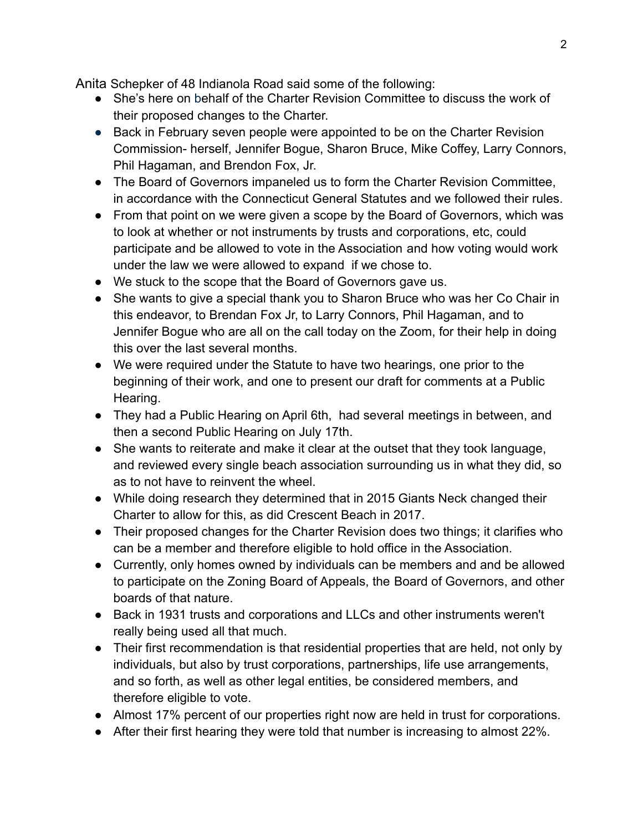Anita Schepker of 48 Indianola Road said some of the following:

- She's here on behalf of the Charter Revision Committee to discuss the work of their proposed changes to the Charter.
- Back in February seven people were appointed to be on the Charter Revision Commission- herself, Jennifer Bogue, Sharon Bruce, Mike Coffey, Larry Connors, Phil Hagaman, and Brendon Fox, Jr.
- The Board of Governors impaneled us to form the Charter Revision Committee, in accordance with the Connecticut General Statutes and we followed their rules.
- From that point on we were given a scope by the Board of Governors, which was to look at whether or not instruments by trusts and corporations, etc, could participate and be allowed to vote in the Association and how voting would work under the law we were allowed to expand if we chose to.
- We stuck to the scope that the Board of Governors gave us.
- She wants to give a special thank you to Sharon Bruce who was her Co Chair in this endeavor, to Brendan Fox Jr, to Larry Connors, Phil Hagaman, and to Jennifer Bogue who are all on the call today on the Zoom, for their help in doing this over the last several months.
- We were required under the Statute to have two hearings, one prior to the beginning of their work, and one to present our draft for comments at a Public Hearing.
- They had a Public Hearing on April 6th, had several meetings in between, and then a second Public Hearing on July 17th.
- She wants to reiterate and make it clear at the outset that they took language, and reviewed every single beach association surrounding us in what they did, so as to not have to reinvent the wheel.
- While doing research they determined that in 2015 Giants Neck changed their Charter to allow for this, as did Crescent Beach in 2017.
- Their proposed changes for the Charter Revision does two things; it clarifies who can be a member and therefore eligible to hold office in the Association.
- Currently, only homes owned by individuals can be members and and be allowed to participate on the Zoning Board of Appeals, the Board of Governors, and other boards of that nature.
- Back in 1931 trusts and corporations and LLCs and other instruments weren't really being used all that much.
- Their first recommendation is that residential properties that are held, not only by individuals, but also by trust corporations, partnerships, life use arrangements, and so forth, as well as other legal entities, be considered members, and therefore eligible to vote.
- Almost 17% percent of our properties right now are held in trust for corporations.
- After their first hearing they were told that number is increasing to almost 22%.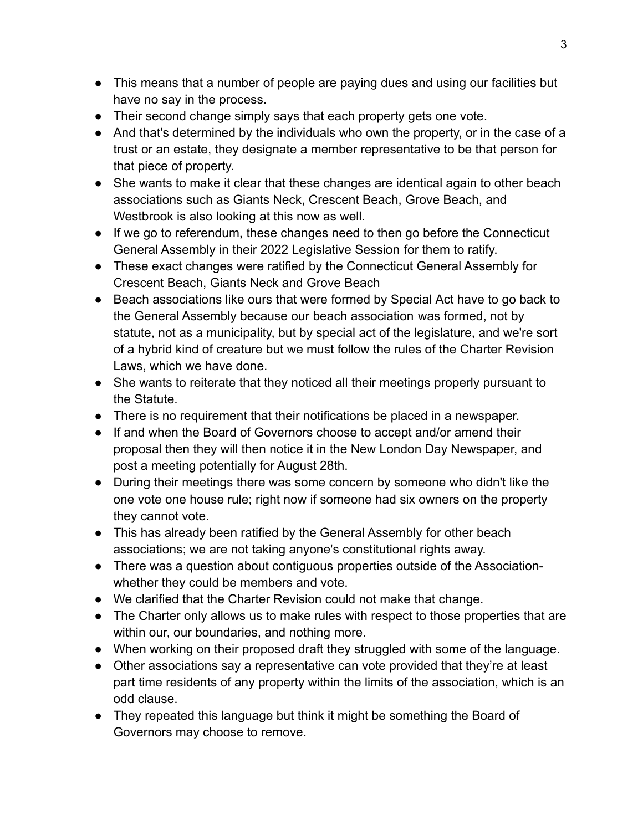- This means that a number of people are paying dues and using our facilities but have no say in the process.
- Their second change simply says that each property gets one vote.
- And that's determined by the individuals who own the property, or in the case of a trust or an estate, they designate a member representative to be that person for that piece of property.
- She wants to make it clear that these changes are identical again to other beach associations such as Giants Neck, Crescent Beach, Grove Beach, and Westbrook is also looking at this now as well.
- If we go to referendum, these changes need to then go before the Connecticut General Assembly in their 2022 Legislative Session for them to ratify.
- These exact changes were ratified by the Connecticut General Assembly for Crescent Beach, Giants Neck and Grove Beach
- Beach associations like ours that were formed by Special Act have to go back to the General Assembly because our beach association was formed, not by statute, not as a municipality, but by special act of the legislature, and we're sort of a hybrid kind of creature but we must follow the rules of the Charter Revision Laws, which we have done.
- She wants to reiterate that they noticed all their meetings properly pursuant to the Statute.
- There is no requirement that their notifications be placed in a newspaper.
- If and when the Board of Governors choose to accept and/or amend their proposal then they will then notice it in the New London Day Newspaper, and post a meeting potentially for August 28th.
- During their meetings there was some concern by someone who didn't like the one vote one house rule; right now if someone had six owners on the property they cannot vote.
- This has already been ratified by the General Assembly for other beach associations; we are not taking anyone's constitutional rights away.
- There was a question about contiguous properties outside of the Associationwhether they could be members and vote.
- We clarified that the Charter Revision could not make that change.
- The Charter only allows us to make rules with respect to those properties that are within our, our boundaries, and nothing more.
- When working on their proposed draft they struggled with some of the language.
- Other associations say a representative can vote provided that they're at least part time residents of any property within the limits of the association, which is an odd clause.
- They repeated this language but think it might be something the Board of Governors may choose to remove.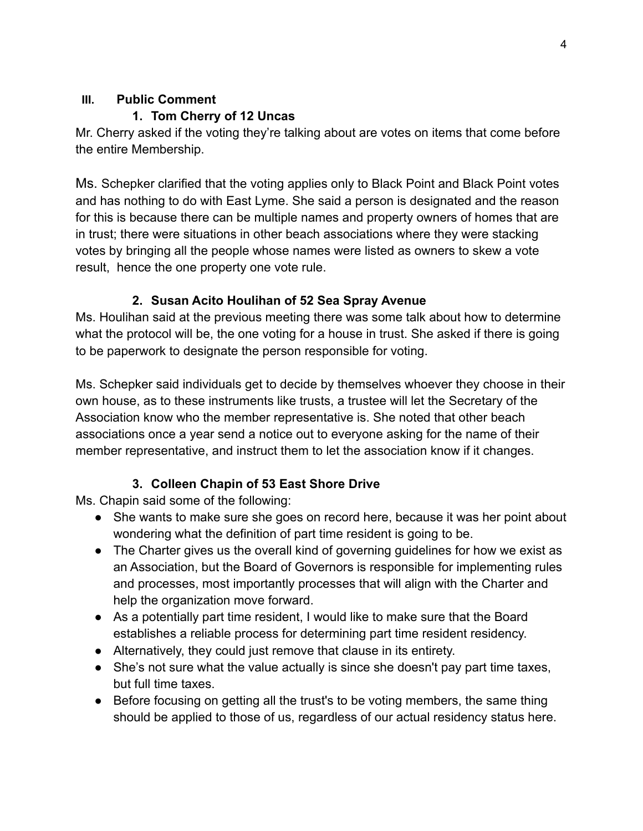### **III. Public Comment**

### **1. Tom Cherry of 12 Uncas**

Mr. Cherry asked if the voting they're talking about are votes on items that come before the entire Membership.

Ms. Schepker clarified that the voting applies only to Black Point and Black Point votes and has nothing to do with East Lyme. She said a person is designated and the reason for this is because there can be multiple names and property owners of homes that are in trust; there were situations in other beach associations where they were stacking votes by bringing all the people whose names were listed as owners to skew a vote result, hence the one property one vote rule.

# **2. Susan Acito Houlihan of 52 Sea Spray Avenue**

Ms. Houlihan said at the previous meeting there was some talk about how to determine what the protocol will be, the one voting for a house in trust. She asked if there is going to be paperwork to designate the person responsible for voting.

Ms. Schepker said individuals get to decide by themselves whoever they choose in their own house, as to these instruments like trusts, a trustee will let the Secretary of the Association know who the member representative is. She noted that other beach associations once a year send a notice out to everyone asking for the name of their member representative, and instruct them to let the association know if it changes.

# **3. Colleen Chapin of 53 East Shore Drive**

Ms. Chapin said some of the following:

- She wants to make sure she goes on record here, because it was her point about wondering what the definition of part time resident is going to be.
- The Charter gives us the overall kind of governing guidelines for how we exist as an Association, but the Board of Governors is responsible for implementing rules and processes, most importantly processes that will align with the Charter and help the organization move forward.
- As a potentially part time resident, I would like to make sure that the Board establishes a reliable process for determining part time resident residency.
- Alternatively, they could just remove that clause in its entirety.
- She's not sure what the value actually is since she doesn't pay part time taxes, but full time taxes.
- Before focusing on getting all the trust's to be voting members, the same thing should be applied to those of us, regardless of our actual residency status here.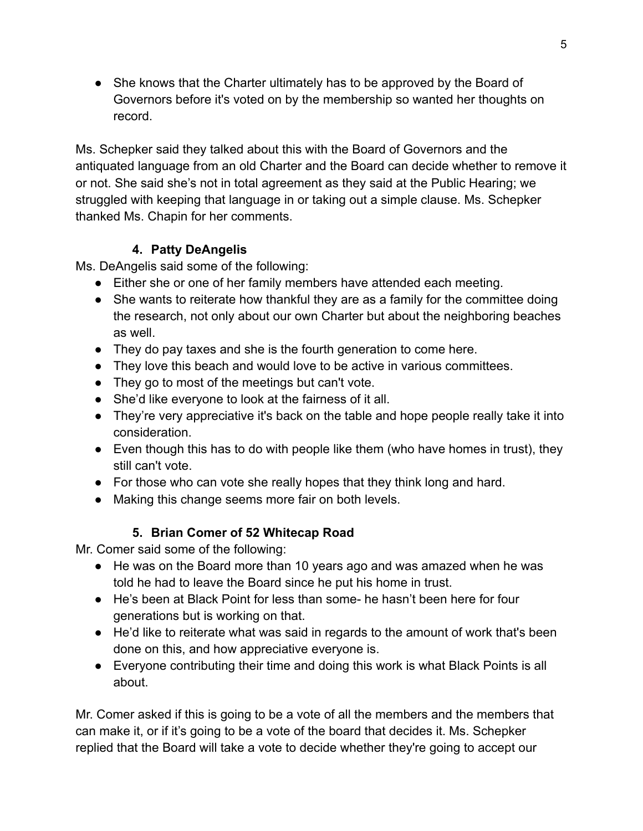• She knows that the Charter ultimately has to be approved by the Board of Governors before it's voted on by the membership so wanted her thoughts on record.

Ms. Schepker said they talked about this with the Board of Governors and the antiquated language from an old Charter and the Board can decide whether to remove it or not. She said she's not in total agreement as they said at the Public Hearing; we struggled with keeping that language in or taking out a simple clause. Ms. Schepker thanked Ms. Chapin for her comments.

### **4. Patty DeAngelis**

Ms. DeAngelis said some of the following:

- Either she or one of her family members have attended each meeting.
- She wants to reiterate how thankful they are as a family for the committee doing the research, not only about our own Charter but about the neighboring beaches as well.
- They do pay taxes and she is the fourth generation to come here.
- They love this beach and would love to be active in various committees.
- They go to most of the meetings but can't vote.
- She'd like everyone to look at the fairness of it all.
- They're very appreciative it's back on the table and hope people really take it into consideration.
- Even though this has to do with people like them (who have homes in trust), they still can't vote.
- For those who can vote she really hopes that they think long and hard.
- Making this change seems more fair on both levels.

## **5. Brian Comer of 52 Whitecap Road**

Mr. Comer said some of the following:

- He was on the Board more than 10 years ago and was amazed when he was told he had to leave the Board since he put his home in trust.
- He's been at Black Point for less than some- he hasn't been here for four generations but is working on that.
- He'd like to reiterate what was said in regards to the amount of work that's been done on this, and how appreciative everyone is.
- Everyone contributing their time and doing this work is what Black Points is all about.

Mr. Comer asked if this is going to be a vote of all the members and the members that can make it, or if it's going to be a vote of the board that decides it. Ms. Schepker replied that the Board will take a vote to decide whether they're going to accept our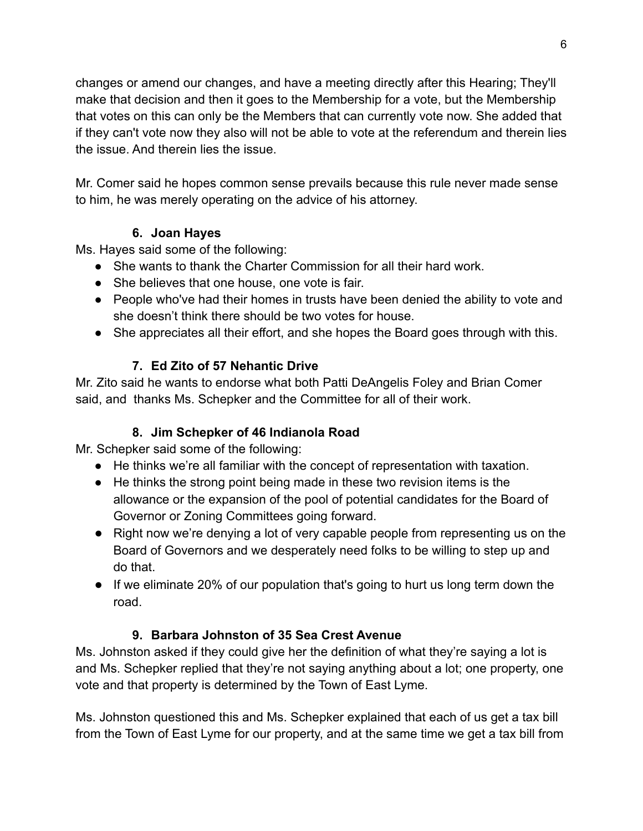changes or amend our changes, and have a meeting directly after this Hearing; They'll make that decision and then it goes to the Membership for a vote, but the Membership that votes on this can only be the Members that can currently vote now. She added that if they can't vote now they also will not be able to vote at the referendum and therein lies the issue. And therein lies the issue.

Mr. Comer said he hopes common sense prevails because this rule never made sense to him, he was merely operating on the advice of his attorney.

## **6. Joan Hayes**

Ms. Hayes said some of the following:

- She wants to thank the Charter Commission for all their hard work.
- She believes that one house, one vote is fair.
- People who've had their homes in trusts have been denied the ability to vote and she doesn't think there should be two votes for house.
- She appreciates all their effort, and she hopes the Board goes through with this.

# **7. Ed Zito of 57 Nehantic Drive**

Mr. Zito said he wants to endorse what both Patti DeAngelis Foley and Brian Comer said, and thanks Ms. Schepker and the Committee for all of their work.

## **8. Jim Schepker of 46 Indianola Road**

Mr. Schepker said some of the following:

- He thinks we're all familiar with the concept of representation with taxation.
- He thinks the strong point being made in these two revision items is the allowance or the expansion of the pool of potential candidates for the Board of Governor or Zoning Committees going forward.
- Right now we're denying a lot of very capable people from representing us on the Board of Governors and we desperately need folks to be willing to step up and do that.
- If we eliminate 20% of our population that's going to hurt us long term down the road.

## **9. Barbara Johnston of 35 Sea Crest Avenue**

Ms. Johnston asked if they could give her the definition of what they're saying a lot is and Ms. Schepker replied that they're not saying anything about a lot; one property, one vote and that property is determined by the Town of East Lyme.

Ms. Johnston questioned this and Ms. Schepker explained that each of us get a tax bill from the Town of East Lyme for our property, and at the same time we get a tax bill from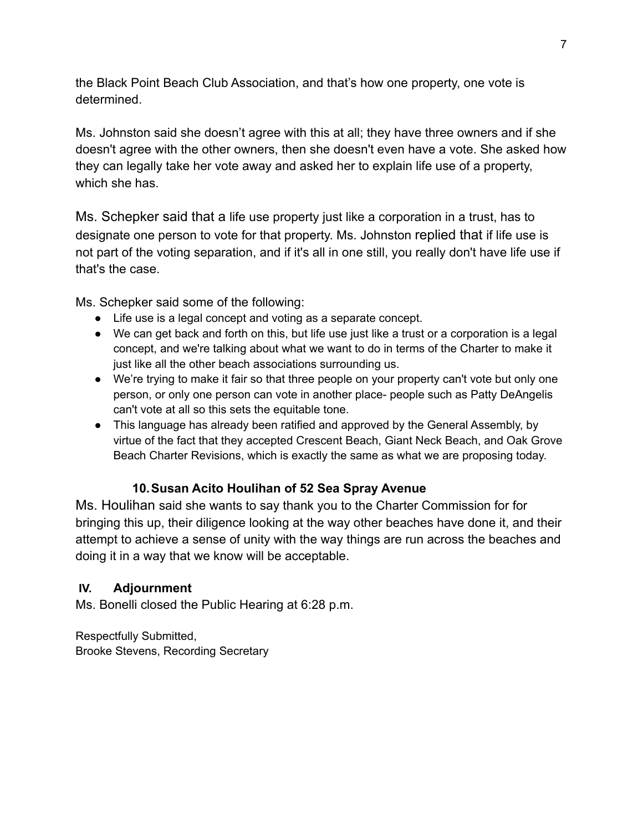the Black Point Beach Club Association, and that's how one property, one vote is determined.

Ms. Johnston said she doesn't agree with this at all; they have three owners and if she doesn't agree with the other owners, then she doesn't even have a vote. She asked how they can legally take her vote away and asked her to explain life use of a property, which she has.

Ms. Schepker said that a life use property just like a corporation in a trust, has to designate one person to vote for that property. Ms. Johnston replied that if life use is not part of the voting separation, and if it's all in one still, you really don't have life use if that's the case.

Ms. Schepker said some of the following:

- Life use is a legal concept and voting as a separate concept.
- We can get back and forth on this, but life use just like a trust or a corporation is a legal concept, and we're talking about what we want to do in terms of the Charter to make it just like all the other beach associations surrounding us.
- We're trying to make it fair so that three people on your property can't vote but only one person, or only one person can vote in another place- people such as Patty DeAngelis can't vote at all so this sets the equitable tone.
- This language has already been ratified and approved by the General Assembly, by virtue of the fact that they accepted Crescent Beach, Giant Neck Beach, and Oak Grove Beach Charter Revisions, which is exactly the same as what we are proposing today.

#### **10.Susan Acito Houlihan of 52 Sea Spray Avenue**

Ms. Houlihan said she wants to say thank you to the Charter Commission for for bringing this up, their diligence looking at the way other beaches have done it, and their attempt to achieve a sense of unity with the way things are run across the beaches and doing it in a way that we know will be acceptable.

#### **IV. Adjournment**

Ms. Bonelli closed the Public Hearing at 6:28 p.m.

Respectfully Submitted, Brooke Stevens, Recording Secretary